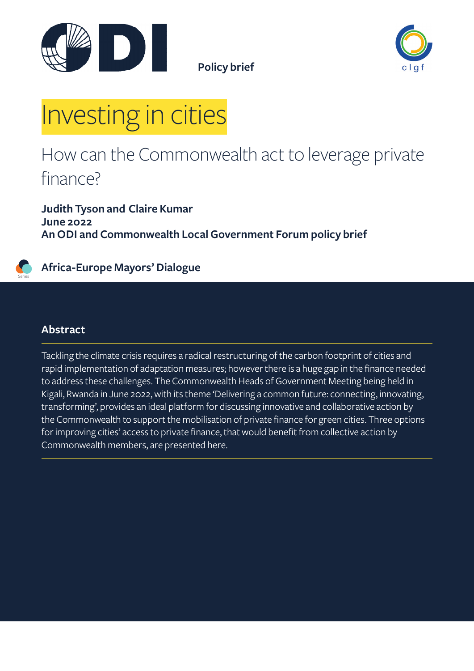



# Investing in cities

### How can the Commonwealth act to leverage private finance?

**Judith Tyson and Claire Kumar June 2022 An ODI and Commonwealth Local Government Forum policy brief**



### **Africa-Europe Mayors' Dialogue**

### **Abstract**

Tackling the climate crisis requires a radical restructuring of the carbon footprint of cities and rapid implementation of adaptation measures; however there is a huge gap in the finance needed to address these challenges. The Commonwealth Heads of Government Meeting being held in Kigali, Rwanda in June 2022, with its theme 'Delivering a common future: connecting, innovating, transforming', provides an ideal platform for discussing innovative and collaborative action by the Commonwealth to support the mobilisation of private finance for green cities. Three options for improving cities' access to private finance, that would benefit from collective action by Commonwealth members, are presented here.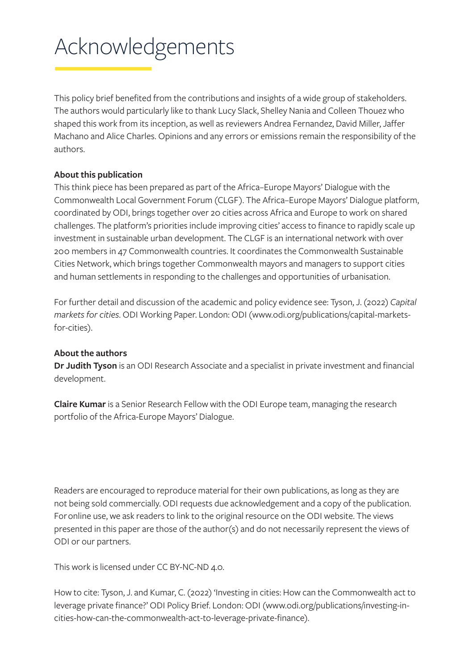## Acknowledgements

This policy brief benefited from the contributions and insights of a wide group of stakeholders. The authors would particularly like to thank Lucy Slack, Shelley Nania and Colleen Thouez who shaped this work from its inception, as well as reviewers Andrea Fernandez, David Miller, Jaffer Machano and Alice Charles. Opinions and any errors or emissions remain the responsibility of the authors.

### **About this publication**

This think piece has been prepared as part of the Africa–Europe Mayors' Dialogue with the Commonwealth Local Government Forum (CLGF). The Africa–Europe Mayors' Dialogue platform, coordinated by ODI, brings together over 20 cities across Africa and Europe to work on shared challenges. The platform's priorities include improving cities' access to finance to rapidly scale up investment in sustainable urban development. The CLGF is an international network with over 200 members in 47 Commonwealth countries. It coordinates the Commonwealth Sustainable Cities Network, which brings together Commonwealth mayors and managers to support cities and human settlements in responding to the challenges and opportunities of urbanisation.

For further detail and discussion of the academic and policy evidence see: Tyson, J. (2022) *Capital markets for cities*. ODI Working Paper. London: ODI (www.odi.org/publications/capital-marketsfor-cities).

#### **About the authors**

**Dr Judith Tyson** is an ODI Research Associate and a specialist in private investment and financial development.

**Claire Kumar** is a Senior Research Fellow with the ODI Europe team, managing the research portfolio of the Africa-Europe Mayors' Dialogue.

Readers are encouraged to reproduce material for their own publications, as long as they are not being sold commercially. ODI requests due acknowledgement and a copy of the publication. For online use, we ask readers to link to the original resource on the ODI website. The views presented in this paper are those of the author(s) and do not necessarily represent the views of ODI or our partners.

This work is licensed under CC BY-NC-ND 4.0.

How to cite: Tyson, J. and Kumar, C. (2022) 'Investing in cities: How can the Commonwealth act to leverage private finance?' ODI Policy Brief. London: ODI ([www.odi.org/publications](http://www.odi.org/publications)/investing-incities-how-can-the-commonwealth-act-to-leverage-private-finance).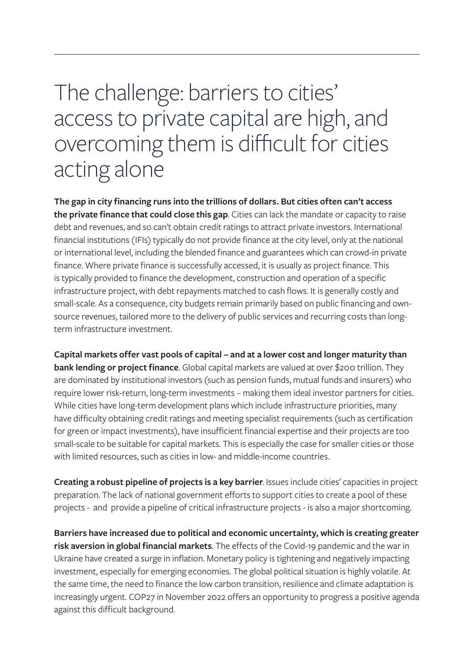### The challenge: barriers to cities' access to private capital are high, and overcoming them is difficult for cities acting alone

**The gap in city financing runs into the trillions of dollars. But cities often can't access the private finance that could close this gap**. Cities can lack the mandate or capacity to raise debt and revenues, and so can't obtain credit ratings to attract private investors. International financial institutions (IFIs) typically do not provide finance at the city level, only at the national or international level, including the blended finance and guarantees which can crowd-in private finance. Where private finance is successfully accessed, it is usually as project finance. This is typically provided to finance the development, construction and operation of a specific infrastructure project, with debt repayments matched to cash flows. It is generally costly and small-scale. As a consequence, city budgets remain primarily based on public financing and ownsource revenues, tailored more to the delivery of public services and recurring costs than longterm infrastructure investment.

**Capital markets offer vast pools of capital – and at a lower cost and longer maturity than bank lending or project finance**. Global capital markets are valued at over \$200 trillion. They are dominated by institutional investors (such as pension funds, mutual funds and insurers) who require lower risk-return, long-term investments – making them ideal investor partners for cities. While cities have long-term development plans which include infrastructure priorities, many have difficulty obtaining credit ratings and meeting specialist requirements (such as certification for green or impact investments), have insufficient financial expertise and their projects are too small-scale to be suitable for capital markets. This is especially the case for smaller cities or those with limited resources, such as cities in low- and middle-income countries.

**Creating a robust pipeline of projects is a key barrier**. Issues include cities' capacities in project preparation. The lack of national government efforts to support cities to create a pool of these projects - and provide a pipeline of critical infrastructure projects - is also a major shortcoming.

**Barriers have increased due to political and economic uncertainty, which is creating greater risk aversion in global financial markets**. The effects of the Covid-19 pandemic and the war in Ukraine have created a surge in inflation. Monetary policy is tightening and negatively impacting investment, especially for emerging economies. The global political situation is highly volatile. At the same time, the need to finance the low carbon transition, resilience and climate adaptation is increasingly urgent. COP27 in November 2022 offers an opportunity to progress a positive agenda against this difficult background.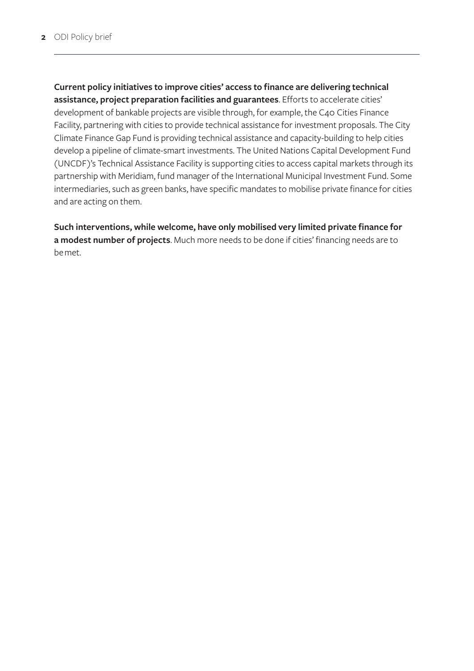**Current policy initiatives to improve cities' access to finance are delivering technical assistance, project preparation facilities and guarantees**. Efforts to accelerate cities' development of bankable projects are visible through, for example, the C40 Cities Finance Facility, partnering with cities to provide technical assistance for investment proposals. The City Climate Finance Gap Fund is providing technical assistance and capacity-building to help cities develop a pipeline of climate-smart investments. The United Nations Capital Development Fund (UNCDF)'s Technical Assistance Facility is supporting cities to access capital markets through its partnership with Meridiam, fund manager of the International Municipal Investment Fund. Some intermediaries, such as green banks, have specific mandates to mobilise private finance for cities and are acting on them.

**Such interventions, while welcome, have only mobilised very limited private finance for a modest number of projects**. Much more needs to be done if cities' financing needs are to be met.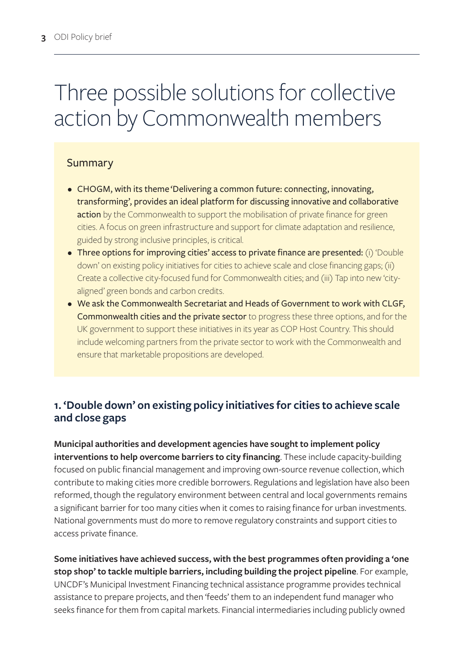## Three possible solutions for collective action by Commonwealth members

### Summary

- CHOGM, with its theme 'Delivering a common future: connecting, innovating, transforming', provides an ideal platform for discussing innovative and collaborative action by the Commonwealth to support the mobilisation of private finance for green cities. A focus on green infrastructure and support for climate adaptation and resilience, guided by strong inclusive principles, is critical.
- Three options for improving cities' access to private finance are presented: (i) 'Double down' on existing policy initiatives for cities to achieve scale and close financing gaps; (ii) Create a collective city-focused fund for Commonwealth cities; and (iii) Tap into new 'cityaligned' green bonds and carbon credits.
- We ask the Commonwealth Secretariat and Heads of Government to work with CLGF, Commonwealth cities and the private sector to progress these three options, and for the UK government to support these initiatives in its year as COP Host Country. This should include welcoming partners from the private sector to work with the Commonwealth and ensure that marketable propositions are developed.

### **1. 'Double down' on existing policy initiatives for cities to achieve scale and close gaps**

**Municipal authorities and development agencies have sought to implement policy interventions to help overcome barriers to city financing**. These include capacity-building focused on public financial management and improving own-source revenue collection, which contribute to making cities more credible borrowers. Regulations and legislation have also been reformed, though the regulatory environment between central and local governments remains a significant barrier for too many cities when it comes to raising finance for urban investments. National governments must do more to remove regulatory constraints and support cities to access private finance.

**Some initiatives have achieved success, with the best programmes often providing a 'one stop shop' to tackle multiple barriers, including building the project pipeline**. For example, UNCDF's Municipal Investment Financing technical assistance programme provides technical assistance to prepare projects, and then 'feeds' them to an independent fund manager who seeks finance for them from capital markets. Financial intermediaries including publicly owned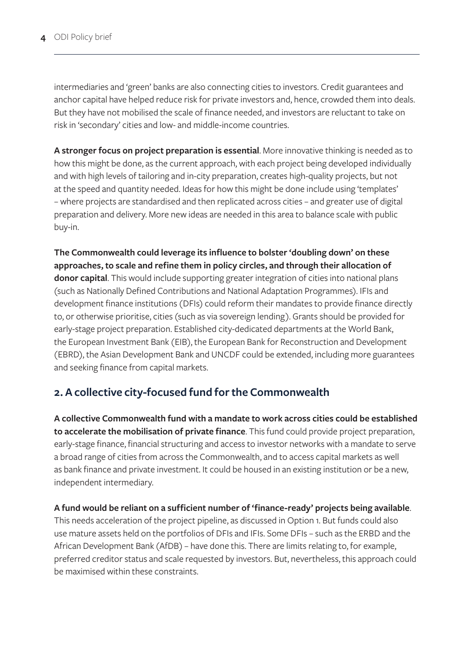intermediaries and 'green' banks are also connecting cities to investors. Credit guarantees and anchor capital have helped reduce risk for private investors and, hence, crowded them into deals. But they have not mobilised the scale of finance needed, and investors are reluctant to take on risk in 'secondary' cities and low- and middle-income countries.

**A stronger focus on project preparation is essential**. More innovative thinking is needed as to how this might be done, as the current approach, with each project being developed individually and with high levels of tailoring and in-city preparation, creates high-quality projects, but not at the speed and quantity needed. Ideas for how this might be done include using 'templates' – where projects are standardised and then replicated across cities – and greater use of digital preparation and delivery. More new ideas are needed in this area to balance scale with public buy-in.

**The Commonwealth could leverage its influence to bolster 'doubling down' on these approaches, to scale and refine them in policy circles, and through their allocation of donor capital**. This would include supporting greater integration of cities into national plans (such as Nationally Defined Contributions and National Adaptation Programmes). IFIs and development finance institutions (DFIs) could reform their mandates to provide finance directly to, or otherwise prioritise, cities (such as via sovereign lending). Grants should be provided for early-stage project preparation. Established city-dedicated departments at the World Bank, the European Investment Bank (EIB), the European Bank for Reconstruction and Development (EBRD), the Asian Development Bank and UNCDF could be extended, including more guarantees and seeking finance from capital markets.

### **2. A collective city-focused fund for the Commonwealth**

**A collective Commonwealth fund with a mandate to work across cities could be established to accelerate the mobilisation of private finance**. This fund could provide project preparation, early-stage finance, financial structuring and access to investor networks with a mandate to serve a broad range of cities from across the Commonwealth, and to access capital markets as well as bank finance and private investment. It could be housed in an existing institution or be a new, independent intermediary.

#### **A fund would be reliant on a sufficient number of 'finance-ready' projects being available**.

This needs acceleration of the project pipeline, as discussed in Option 1. But funds could also use mature assets held on the portfolios of DFIs and IFIs. Some DFIs – such as the ERBD and the African Development Bank (AfDB) – have done this. There are limits relating to, for example, preferred creditor status and scale requested by investors. But, nevertheless, this approach could be maximised within these constraints.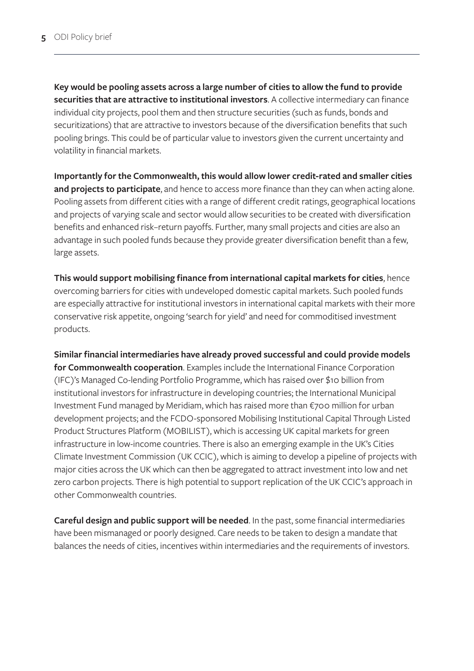**Key would be pooling assets across a large number of cities to allow the fund to provide securities that are attractive to institutional investors**. A collective intermediary can finance individual city projects, pool them and then structure securities (such as funds, bonds and securitizations) that are attractive to investors because of the diversification benefits that such pooling brings. This could be of particular value to investors given the current uncertainty and volatility in financial markets.

**Importantly for the Commonwealth, this would allow lower credit-rated and smaller cities and projects to participate**, and hence to access more finance than they can when acting alone. Pooling assets from different cities with a range of different credit ratings, geographical locations and projects of varying scale and sector would allow securities to be created with diversification benefits and enhanced risk–return payoffs. Further, many small projects and cities are also an advantage in such pooled funds because they provide greater diversification benefit than a few, large assets.

**This would support mobilising finance from international capital markets for cities**, hence overcoming barriers for cities with undeveloped domestic capital markets. Such pooled funds are especially attractive for institutional investors in international capital markets with their more conservative risk appetite, ongoing 'search for yield' and need for commoditised investment products.

**Similar financial intermediaries have already proved successful and could provide models for Commonwealth cooperation**. Examples include the International Finance Corporation (IFC)'s Managed Co-lending Portfolio Programme, which has raised over \$10 billion from institutional investors for infrastructure in developing countries; the International Municipal Investment Fund managed by Meridiam, which has raised more than €700 million for urban development projects; and the FCDO-sponsored Mobilising Institutional Capital Through Listed Product Structures Platform (MOBILIST), which is accessing UK capital markets for green infrastructure in low-income countries. There is also an emerging example in the UK's Cities Climate Investment Commission (UK CCIC), which is aiming to develop a pipeline of projects with major cities across the UK which can then be aggregated to attract investment into low and net zero carbon projects. There is high potential to support replication of the UK CCIC's approach in other Commonwealth countries.

**Careful design and public support will be needed**. In the past, some financial intermediaries have been mismanaged or poorly designed. Care needs to be taken to design a mandate that balances the needs of cities, incentives within intermediaries and the requirements of investors.